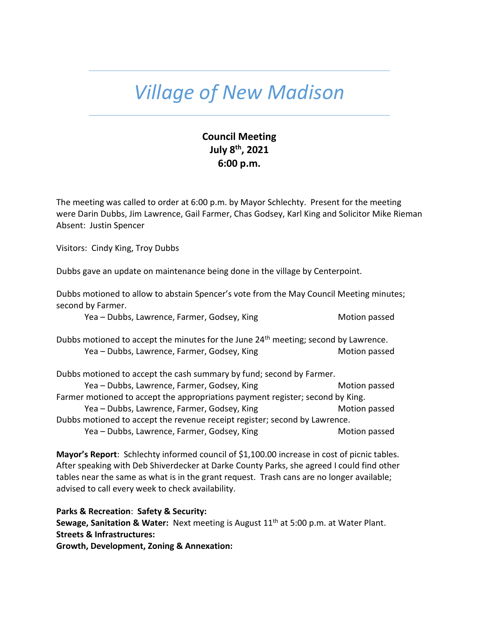## *Village of New Madison*

## **Council Meeting July 8th , 2021 6:00 p.m.**

The meeting was called to order at 6:00 p.m. by Mayor Schlechty. Present for the meeting were Darin Dubbs, Jim Lawrence, Gail Farmer, Chas Godsey, Karl King and Solicitor Mike Rieman Absent: Justin Spencer

Visitors: Cindy King, Troy Dubbs

Dubbs gave an update on maintenance being done in the village by Centerpoint.

Dubbs motioned to allow to abstain Spencer's vote from the May Council Meeting minutes; second by Farmer.

Yea – Dubbs, Lawrence, Farmer, Godsey, King Motion passed Motion passed

Dubbs motioned to accept the minutes for the June 24<sup>th</sup> meeting; second by Lawrence. Yea – Dubbs, Lawrence, Farmer, Godsey, King Motion passed Motion passed

Dubbs motioned to accept the cash summary by fund; second by Farmer.

Yea – Dubbs, Lawrence, Farmer, Godsey, King Motion passed Motion passed Farmer motioned to accept the appropriations payment register; second by King. Yea – Dubbs, Lawrence, Farmer, Godsey, King Motion passed Dubbs motioned to accept the revenue receipt register; second by Lawrence. Yea – Dubbs, Lawrence, Farmer, Godsey, King Motion passed Motion passed

**Mayor's Report**: Schlechty informed council of \$1,100.00 increase in cost of picnic tables. After speaking with Deb Shiverdecker at Darke County Parks, she agreed I could find other tables near the same as what is in the grant request. Trash cans are no longer available; advised to call every week to check availability.

**Parks & Recreation**: **Safety & Security:**

Sewage, Sanitation & Water: Next meeting is August 11<sup>th</sup> at 5:00 p.m. at Water Plant. **Streets & Infrastructures:** 

**Growth, Development, Zoning & Annexation:**